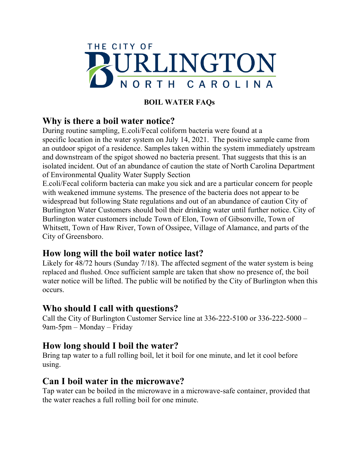

## **BOIL WATER FAQs**

# **Why is there a boil water notice?**

During routine sampling, E.coli/Fecal coliform bacteria were found at a specific location in the water system on July 14, 2021. The positive sample came from an outdoor spigot of a residence. Samples taken within the system immediately upstream and downstream of the spigot showed no bacteria present. That suggests that this is an isolated incident. Out of an abundance of caution the state of North Carolina Department of Environmental Quality Water Supply Section

E.coli/Fecal coliform bacteria can make you sick and are a particular concern for people with weakened immune systems. The presence of the bacteria does not appear to be widespread but following State regulations and out of an abundance of caution City of Burlington Water Customers should boil their drinking water until further notice. City of Burlington water customers include Town of Elon, Town of Gibsonville, Town of Whitsett, Town of Haw River, Town of Ossipee, Village of Alamance, and parts of the City of Greensboro.

# **How long will the boil water notice last?**

Likely for 48/72 hours (Sunday 7/18). The affected segment of the water system is being replaced and flushed. Once sufficient sample are taken that show no presence of, the boil water notice will be lifted. The public will be notified by the City of Burlington when this occurs.

# **Who should I call with questions?**

Call the City of Burlington Customer Service line at 336-222-5100 or 336-222-5000 – 9am-5pm – Monday – Friday

# **How long should I boil the water?**

Bring tap water to a full rolling boil, let it boil for one minute, and let it cool before using.

## **Can I boil water in the microwave?**

Tap water can be boiled in the microwave in a microwave-safe container, provided that the water reaches a full rolling boil for one minute.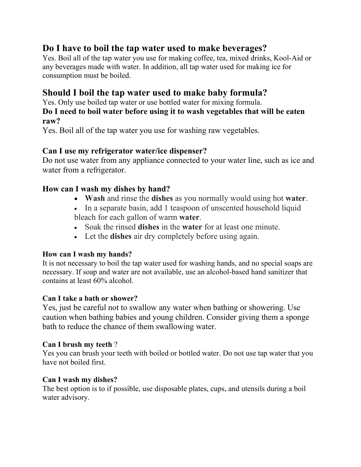# **Do I have to boil the tap water used to make beverages?**

Yes. Boil all of the tap water you use for making coffee, tea, mixed drinks, Kool-Aid or any beverages made with water. In addition, all tap water used for making ice for consumption must be boiled.

## **Should I boil the tap water used to make baby formula?**

Yes. Only use boiled tap water or use bottled water for mixing formula.

### **Do I need to boil water before using it to wash vegetables that will be eaten raw?**

Yes. Boil all of the tap water you use for washing raw vegetables.

### **Can I use my refrigerator water/ice dispenser?**

Do not use water from any appliance connected to your water line, such as ice and water from a refrigerator.

### **How can I wash my dishes by hand?**

- **Wash** and rinse the **dishes** as you normally would using hot **water**.
- In a separate basin, add 1 teaspoon of unscented household liquid bleach for each gallon of warm **water**.
- Soak the rinsed **dishes** in the **water** for at least one minute.
- Let the **dishes** air dry completely before using again.

### **How can I wash my hands?**

It is not necessary to boil the tap water used for washing hands, and no special soaps are necessary. If soap and water are not available, use an alcohol-based hand sanitizer that contains at least 60% alcohol.

### **Can I take a bath or shower?**

Yes, just be careful not to swallow any water when bathing or showering. Use caution when bathing babies and young children. Consider giving them a sponge bath to reduce the chance of them swallowing water.

### **Can I brush my teeth** ?

Yes you can brush your teeth with boiled or bottled water. Do not use tap water that you have not boiled first.

### **Can I wash my dishes?**

The best option is to if possible, use disposable plates, cups, and utensils during a boil water advisory.